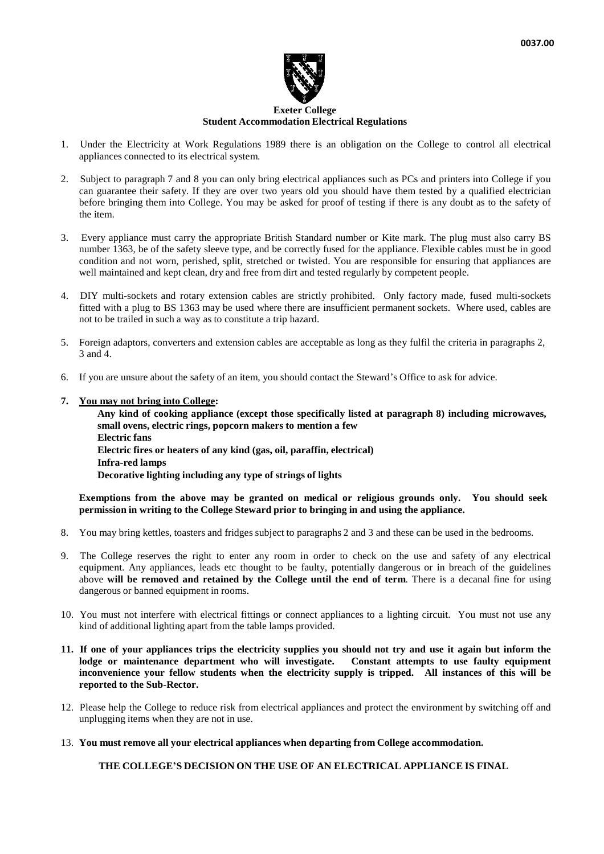

## **Exeter College Student Accommodation Electrical Regulations**

- 1. Under the Electricity at Work Regulations 1989 there is an obligation on the College to control all electrical appliances connected to its electrical system.
- 2. Subject to paragraph 7 and 8 you can only bring electrical appliances such as PCs and printers into College if you can guarantee their safety. If they are over two years old you should have them tested by a qualified electrician before bringing them into College. You may be asked for proof of testing if there is any doubt as to the safety of the item.
- 3. Every appliance must carry the appropriate British Standard number or Kite mark. The plug must also carry BS number 1363, be of the safety sleeve type, and be correctly fused for the appliance. Flexible cables must be in good condition and not worn, perished, split, stretched or twisted. You are responsible for ensuring that appliances are well maintained and kept clean, dry and free from dirt and tested regularly by competent people.
- 4. DIY multi-sockets and rotary extension cables are strictly prohibited. Only factory made, fused multi-sockets fitted with a plug to BS 1363 may be used where there are insufficient permanent sockets. Where used, cables are not to be trailed in such a way as to constitute a trip hazard.
- 5. Foreign adaptors, converters and extension cables are acceptable as long as they fulfil the criteria in paragraphs 2, 3 and 4.
- 6. If you are unsure about the safety of an item, you should contact the Steward's Office to ask for advice.

## **7. You may not bring into College:**

**Any kind of cooking appliance (except those specifically listed at paragraph 8) including microwaves, small ovens, electric rings, popcorn makers to mention a few Electric fans Electric fires or heaters of any kind (gas, oil, paraffin, electrical) Infra-red lamps Decorative lighting including any type of strings of lights**

**Exemptions from the above may be granted on medical or religious grounds only. You should seek permission in writing to the College Steward prior to bringing in and using the appliance.**

- 8. You may bring kettles, toasters and fridges subject to paragraphs 2 and 3 and these can be used in the bedrooms.
- 9. The College reserves the right to enter any room in order to check on the use and safety of any electrical equipment. Any appliances, leads etc thought to be faulty, potentially dangerous or in breach of the guidelines above **will be removed and retained by the College until the end of term**. There is a decanal fine for using dangerous or banned equipment in rooms.
- 10. You must not interfere with electrical fittings or connect appliances to a lighting circuit. You must not use any kind of additional lighting apart from the table lamps provided.
- 11. If one of your appliances trips the electricity supplies you should not try and use it again but inform the **lodge or maintenance department who will investigate. Constant attempts to use faulty equipment inconvenience your fellow students when the electricity supply is tripped. All instances of this will be reported to the Sub-Rector.**
- 12. Please help the College to reduce risk from electrical appliances and protect the environment by switching off and unplugging items when they are not in use.
- 13. **You must remove all your electrical appliances when departing from College accommodation.**

**THE COLLEGE'S DECISION ON THE USE OF AN ELECTRICAL APPLIANCE IS FINAL**